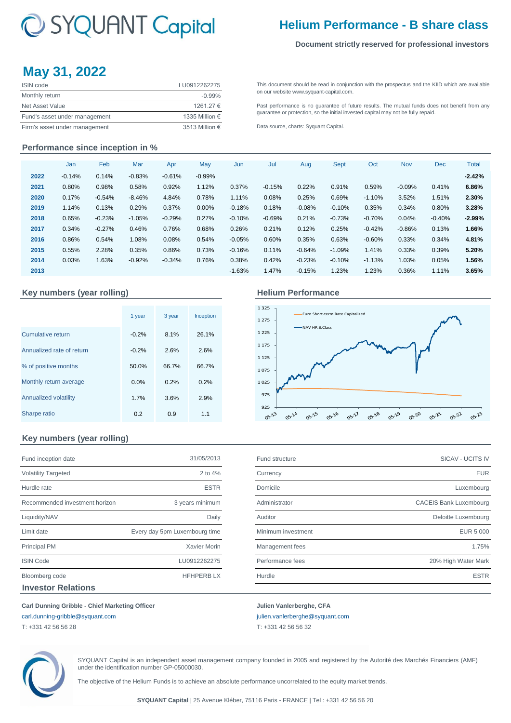# C SYQUANT Capital

## **Helium Performance - B share class**

#### **Document strictly reserved for professional investors**

## **May 31, 2022**

| <b>ISIN</b> code              | LU0912262275            |
|-------------------------------|-------------------------|
| Monthly return                | $-0.99\%$               |
| Net Asset Value               | 1261.27 €               |
| Fund's asset under management | 1335 Million €          |
| Firm's asset under management | 3513 Million $\epsilon$ |

[This](http://www.syquant-capital.fr/publications-syquant-capital.php) [document](http://www.syquant-capital.fr/publications-syquant-capital.php) [should](http://www.syquant-capital.fr/publications-syquant-capital.php) be read in [conjunction](http://www.syquant-capital.fr/publications-syquant-capital.php) with the prospectus and the KIID which are available [on our website](http://www.syquant-capital.fr/publications-syquant-capital.php) www.syquant-capital.com.

[Past](http://www.syquant-capital.fr/publications-syquant-capital.php) [performance](http://www.syquant-capital.fr/publications-syquant-capital.php) is no [guarantee](http://www.syquant-capital.fr/publications-syquant-capital.php) of future results. The mutual funds does not benefit from any [guarantee or p](http://www.syquant-capital.fr/publications-syquant-capital.php)rotection, so the initial invested capital may not be fully repaid.

[Data source, c](http://www.syquant-capital.fr/publications-syquant-capital.php)harts: Syquant Capital.

#### **Performance since inception in %**

|      | Jan      | Feb      | Mar      | Apr      | May      | Jun      | Jul      | Aug      | Sept     | Oct      | <b>Nov</b> | <b>Dec</b> | <b>Total</b> |
|------|----------|----------|----------|----------|----------|----------|----------|----------|----------|----------|------------|------------|--------------|
| 2022 | $-0.14%$ | 0.14%    | $-0.83%$ | $-0.61%$ | $-0.99%$ |          |          |          |          |          |            |            | $-2.42%$     |
| 2021 | 0.80%    | 0.98%    | 0.58%    | 0.92%    | 1.12%    | 0.37%    | $-0.15%$ | 0.22%    | 0.91%    | 0.59%    | $-0.09\%$  | 0.41%      | 6.86%        |
| 2020 | 0.17%    | $-0.54%$ | $-8.46%$ | 4.84%    | 0.78%    | 1.11%    | 0.08%    | 0.25%    | 0.69%    | $-1.10%$ | 3.52%      | 1.51%      | 2.30%        |
| 2019 | 1.14%    | 0.13%    | 0.29%    | 0.37%    | 0.00%    | $-0.18%$ | 0.18%    | $-0.08%$ | $-0.10%$ | 0.35%    | 0.34%      | 0.80%      | 3.28%        |
| 2018 | 0.65%    | $-0.23%$ | $-1.05%$ | $-0.29%$ | 0.27%    | $-0.10%$ | $-0.69%$ | 0.21%    | $-0.73%$ | $-0.70%$ | 0.04%      | $-0.40%$   | $-2.99\%$    |
| 2017 | 0.34%    | $-0.27%$ | 0.46%    | 0.76%    | 0.68%    | 0.26%    | 0.21%    | 0.12%    | 0.25%    | $-0.42%$ | $-0.86%$   | 0.13%      | 1.66%        |
| 2016 | 0.86%    | 0.54%    | 1.08%    | 0.08%    | 0.54%    | $-0.05%$ | 0.60%    | 0.35%    | 0.63%    | $-0.60%$ | 0.33%      | 0.34%      | 4.81%        |
| 2015 | 0.55%    | 2.28%    | 0.35%    | 0.86%    | 0.73%    | $-0.16%$ | 0.11%    | $-0.64%$ | $-1.09%$ | 1.41%    | 0.33%      | 0.39%      | 5.20%        |
| 2014 | 0.03%    | 1.63%    | $-0.92%$ | $-0.34%$ | 0.76%    | 0.38%    | 0.42%    | $-0.23%$ | $-0.10%$ | $-1.13%$ | 1.03%      | 0.05%      | 1.56%        |
| 2013 |          |          |          |          |          | $-1.63%$ | 1.47%    | $-0.15%$ | 1.23%    | 1.23%    | 0.36%      | 1.11%      | 3.65%        |

#### Key numbers (year rolling) **Accord Accord Performance Helium Performance**

|                           | 1 year  | 3 year | Inception |
|---------------------------|---------|--------|-----------|
| <b>Cumulative return</b>  | $-0.2%$ | 8.1%   | 26.1%     |
| Annualized rate of return | $-0.2%$ | 2.6%   | 2.6%      |
| % of positive months      | 50.0%   | 66.7%  | 66.7%     |
| Monthly return average    | 0.0%    | 0.2%   | 0.2%      |
| Annualized volatility     | 1.7%    | 3.6%   | 2.9%      |
| Sharpe ratio              | 0.2     | 0.9    | 1.1       |



### **Key numbers (year rolling)**

| Fund inception date            | 31/05/2013                    |
|--------------------------------|-------------------------------|
| <b>Volatility Targeted</b>     | 2 to $4%$                     |
| Hurdle rate                    | <b>ESTR</b>                   |
| Recommended investment horizon | 3 years minimum               |
| Liquidity/NAV                  | Daily                         |
| Limit date                     | Every day 5pm Luxembourg time |
| <b>Principal PM</b>            | <b>Xavier Morin</b>           |
| <b>ISIN Code</b>               | LU0912262275                  |
| Bloomberg code                 | <b>HFHPERBLX</b>              |
| <b>Investor Relations</b>      |                               |

| Fund inception date            | 31/05/2013                    | Fund structure     | <b>SICAV - UCITS IV</b>       |
|--------------------------------|-------------------------------|--------------------|-------------------------------|
| <b>Volatility Targeted</b>     | 2 to 4%                       | Currency           | <b>EUR</b>                    |
| Hurdle rate                    | <b>ESTR</b>                   | Domicile           | Luxembourg                    |
| Recommended investment horizon | 3 years minimum               | Administrator      | <b>CACEIS Bank Luxembourg</b> |
| Liquidity/NAV                  | Daily                         | Auditor            | Deloitte Luxembourg           |
| Limit date                     | Every day 5pm Luxembourg time | Minimum investment | <b>EUR 5 000</b>              |
| <b>Principal PM</b>            | Xavier Morin                  | Management fees    | 1.75%                         |
| <b>ISIN Code</b>               | LU0912262275                  | Performance fees   | 20% High Water Mark           |
| Bloomberg code                 | <b>HFHPERBLX</b>              | Hurdle             | <b>ESTR</b>                   |
|                                |                               |                    |                               |

**Carl Dunning Gribble - Chief Marketing Officer Julien Vanlerberghe, CFA** 

[carl.dunning-gribble@syquant.com](mailto:carl.dunning-gribble@syquant.com) [julien.vanlerberghe@syquant.com](mailto:julien.vanlerberghe@syquant.com) 

T: +331 42 56 56 28 T: +331 42 56 56 32

SYQUANT Capital is an independent asset management company founded in 2005 and registered by the Autorité des Marchés Financiers (AMF) under the identification number GP-05000030.

The objective of the Helium Funds is to achieve an absolute performance uncorrelated to the equity market trends.

**SYQUANT Capital** | 25 Avenue Kléber, 75116 Paris - FRANCE | Tel : +331 42 56 56 20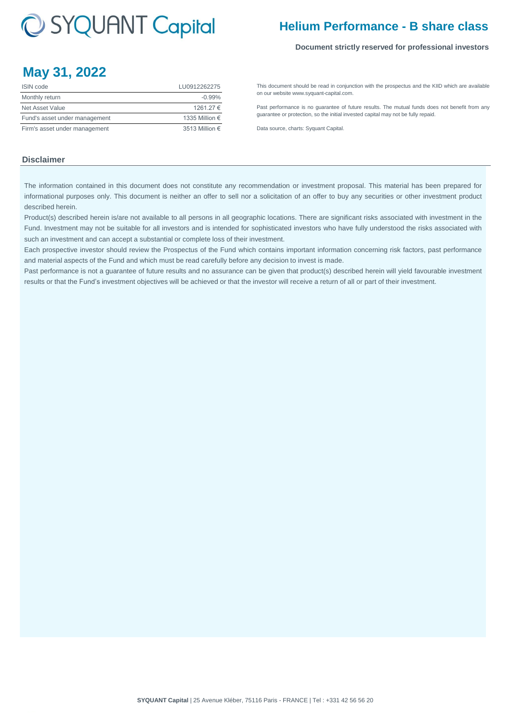# C SYQUANT Capital

## **Helium Performance - B share class**

#### **Document strictly reserved for professional investors**

## **May 31, 2022**

| ISIN code                     | LU0912262275   |
|-------------------------------|----------------|
| Monthly return                | $-0.99%$       |
| Net Asset Value               | 1261.27 €      |
| Fund's asset under management | 1335 Million € |
| Firm's asset under management | 3513 Million € |

[This](http://www.syquant-capital.fr/publications-syquant-capital.php) [document](http://www.syquant-capital.fr/publications-syquant-capital.php) [should](http://www.syquant-capital.fr/publications-syquant-capital.php) be read in [conjunction](http://www.syquant-capital.fr/publications-syquant-capital.php) with the prospectus and the KIID which are available [on our website](http://www.syquant-capital.fr/publications-syquant-capital.php) www.syquant-capital.com.

[Past](http://www.syquant-capital.fr/publications-syquant-capital.php) [performance](http://www.syquant-capital.fr/publications-syquant-capital.php) is no [guarantee](http://www.syquant-capital.fr/publications-syquant-capital.php) of future results. The mutual funds does not benefit from any [guarantee or p](http://www.syquant-capital.fr/publications-syquant-capital.php)rotection, so the initial invested capital may not be fully repaid.

[Data source, c](http://www.syquant-capital.fr/publications-syquant-capital.php)harts: Syquant Capital.

### **Disclaimer**

The information contained in this document does not constitute any recommendation or investment proposal. This material has been prepared for informational purposes only. This document is neither an offer to sell nor a solicitation of an offer to buy any securities or other investment product described herein.

Product(s) described herein is/are not available to all persons in all geographic locations. There are significant risks associated with investment in the Fund. Investment may not be suitable for all investors and is intended for sophisticated investors who have fully understood the risks associated with such an investment and can accept a substantial or complete loss of their investment.

Each prospective investor should review the Prospectus of the Fund which contains important information concerning risk factors, past performance and material aspects of the Fund and which must be read carefully before any decision to invest is made.

Past performance is not a guarantee of future results and no assurance can be given that product(s) described herein will yield favourable investment results or that the Fund's investment objectives will be achieved or that the investor will receive a return of all or part of their investment.